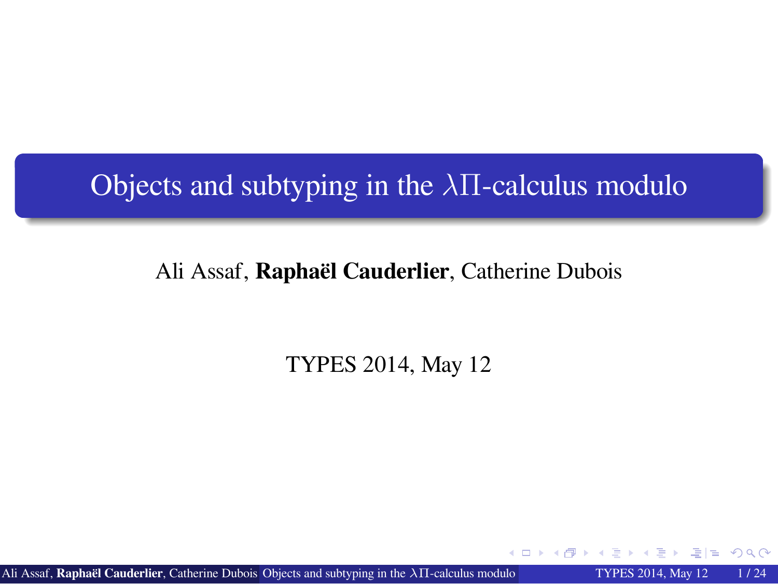Objects and subtyping in the *λ*Π-calculus modulo

Ali Assaf, **Raphaël Cauderlier**, Catherine Dubois

TYPES 2014, May 12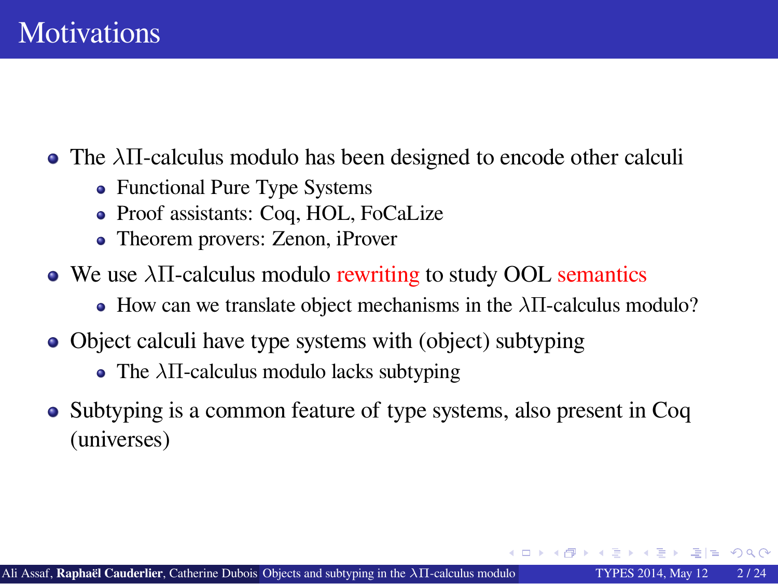#### **Motivations**

- The *λ*Π-calculus modulo has been designed to encode other calculi
	- Functional Pure Type Systems
	- Proof assistants: Coq, HOL, FoCaLize
	- Theorem provers: Zenon, iProver
- We use *λ*Π-calculus modulo rewriting to study OOL semantics
	- How can we translate object mechanisms in the *λ*Π-calculus modulo?
- Object calculi have type systems with (object) subtyping
	- The *λ*Π-calculus modulo lacks subtyping
- Subtyping is a common feature of type systems, also present in Coq (universes)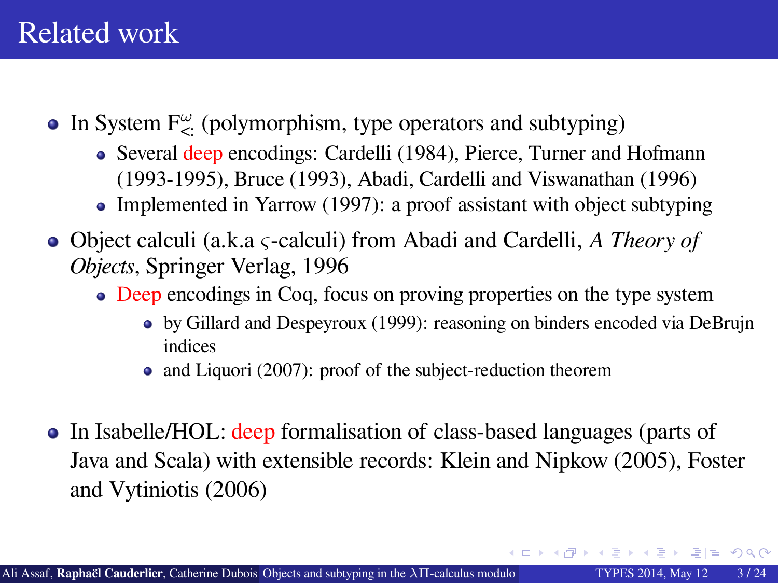#### Related work

- In System F<sub> $\leq$ </sub> (polymorphism, type operators and subtyping)
	- Several deep encodings: Cardelli (1984), Pierce, Turner and Hofmann (1993-1995), Bruce (1993), Abadi, Cardelli and Viswanathan (1996)
	- Implemented in Yarrow (1997): a proof assistant with object subtyping
- Object calculi (a.k.a *ς*-calculi) from Abadi and Cardelli, *A Theory of Objects*, Springer Verlag, 1996
	- Deep encodings in Coq, focus on proving properties on the type system
		- by Gillard and Despeyroux (1999): reasoning on binders encoded via DeBrujn indices
		- and Liquori (2007): proof of the subject-reduction theorem
- In Isabelle/HOL: deep formalisation of class-based languages (parts of Java and Scala) with extensible records: Klein and Nipkow (2005), Foster and Vytiniotis (2006)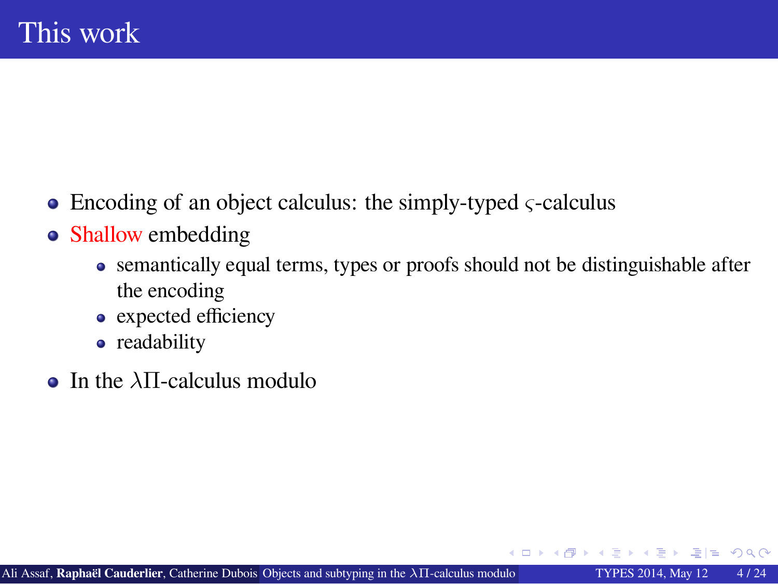### This work

- Encoding of an object calculus: the simply-typed *ς*-calculus
- Shallow embedding
	- semantically equal terms, types or proofs should not be distinguishable after the encoding
	- expected efficiency
	- readability
- In the *λ*Π-calculus modulo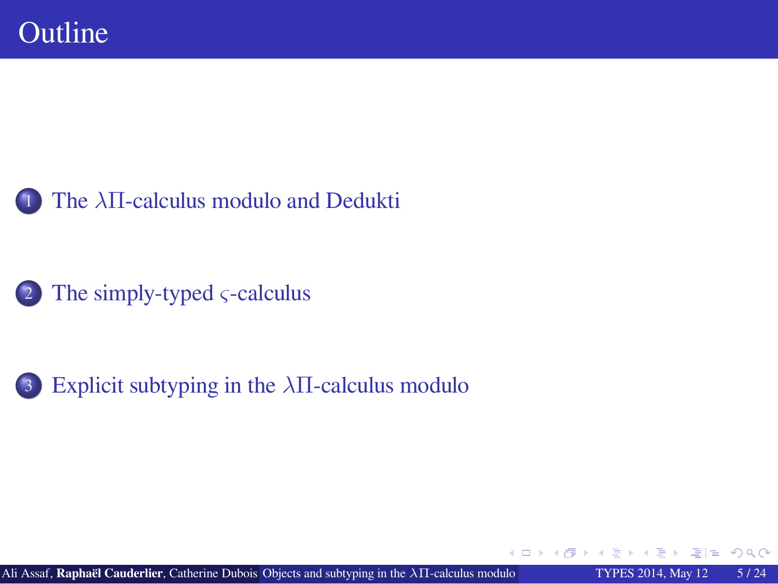### Outline

1 The *λ*Π-calculus modulo and Dedukti

2 The simply-typed *ς*-calculus

3 Explicit subtyping in the *λ*Π-calculus modulo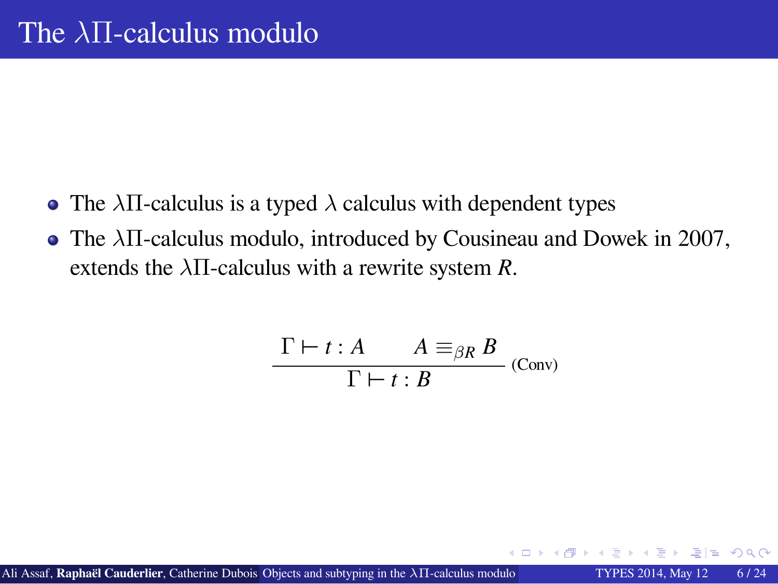### The *λ*Π-calculus modulo

- The *λ*Π-calculus is a typed *λ* calculus with dependent types
- The *λ*Π-calculus modulo, introduced by Cousineau and Dowek in 2007, extends the  $\lambda \Pi$ -calculus with a rewrite system *R*.

$$
\frac{\Gamma \vdash t : A \qquad A \equiv_{\beta R} B}{\Gamma \vdash t : B}
$$
 (Conv)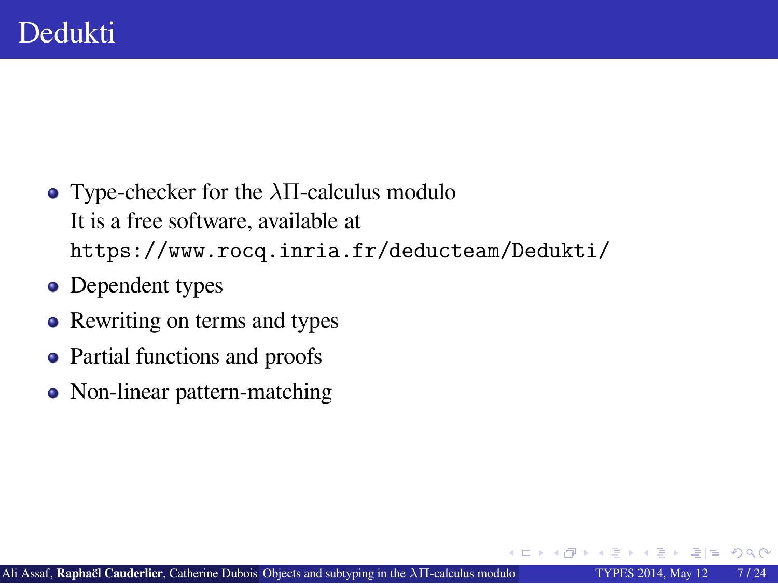### Dedukti

- Type-checker for the *λ*Π-calculus modulo It is a free software, available at https://www.rocq.inria.fr/deducteam/Dedukti/
- Dependent types
- Rewriting on terms and types
- Partial functions and proofs
- Non-linear pattern-matching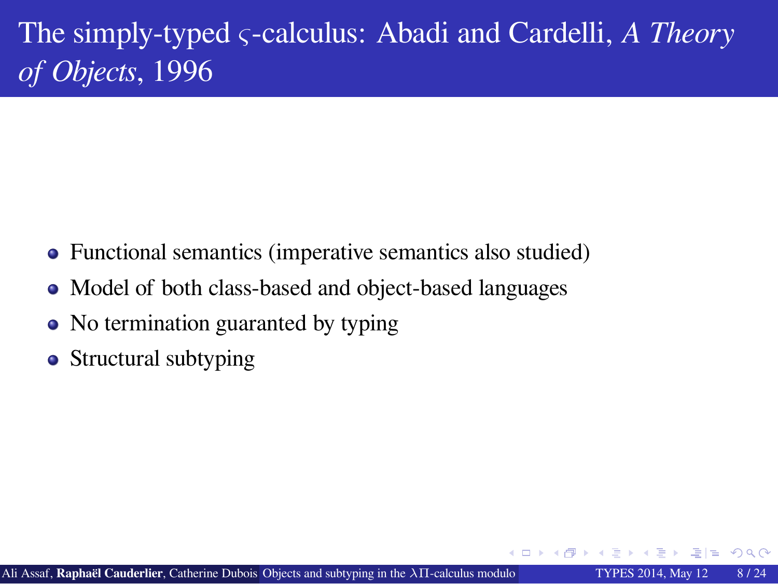The simply-typed *ς*-calculus: Abadi and Cardelli, *A Theory of Objects*, 1996

- Functional semantics (imperative semantics also studied)
- $\bullet$  Model of both class-based and object-based languages
- No termination guaranted by typing
- Structural subtyping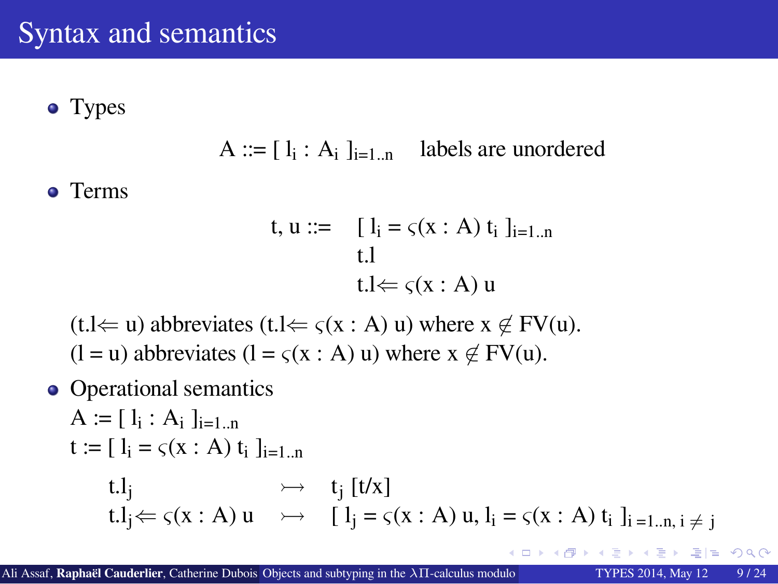### Syntax and semantics

• Types

A ::=  $[I_i : A_i]_{i=1..n}$  labels are unordered

• Terms

t,  $u ::= \left[ l_i = \varsigma(x : A) t_i \right]_{i=1..n}$ t.l t.l*⇐ ς*(x : A) u

 $(t.l \Leftarrow u)$  abbreviates  $(t.l \Leftarrow \varsigma(x : A) u)$  where  $x \notin FV(u)$ .  $(l = u)$  abbreviates  $(l = \varsigma(x : A) u)$  where  $x \notin FV(u)$ .

• Operational semantics

 $A := [l_i : A_i]_{i=1...n}$  $t := [ l_i = \varsigma(x : A) t_i ]_{i=1..n}$ t.l<sub>j</sub>  $\rightarrow$  t<sub>j</sub> [t/x] t.l<sub>j</sub> $\Leftarrow$  *ς*(x : A) u  $\rightarrow$  [ l<sub>j</sub> = *ς*(x : A) u, l<sub>i</sub> = *ς*(x : A) t<sub>i</sub> l<sub>i =1.n, i  $\neq$  j</sub>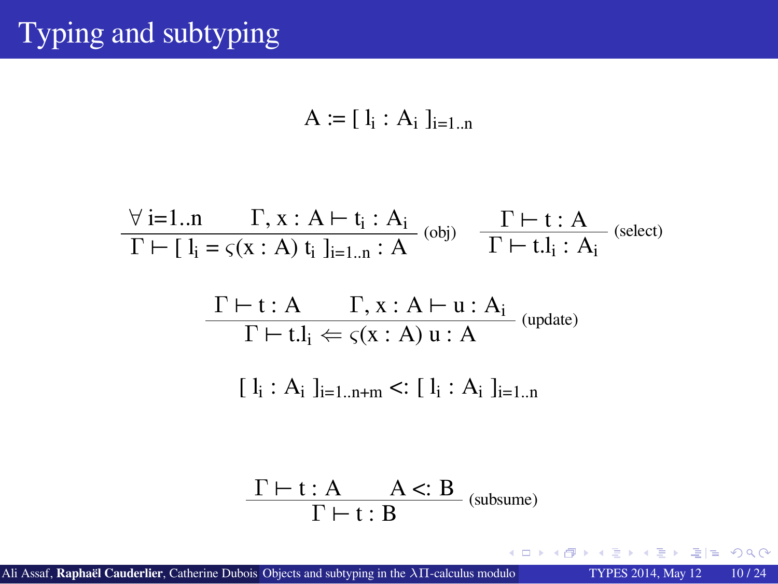# Typing and subtyping

$$
A := [l_i : A_i]_{i=1..n}
$$

$$
\forall i=1..n \quad \Gamma, x : A \vdash t_i : A_i
$$
\n
$$
\Gamma \vdash [l_i = \varsigma(x : A) t_i]_{i=1..n} : A
$$
\n
$$
\Gamma \vdash t.l_i : A_i
$$
\n
$$
\frac{\Gamma \vdash t : A \quad \Gamma, x : A \vdash u : A_i}{\Gamma \vdash t.l_i \Leftarrow \varsigma(x : A) u : A}
$$
\n
$$
[l_i : A_i]_{i=1..n+m} <: [l_i : A_i]_{i=1..n}
$$
\n
$$
\frac{\Gamma \vdash t : A \quad A <: B}{\Gamma \vdash t : B}
$$
\n
$$
(subsum)
$$

. . . . . . . . . . . . . . . . . . . . . . . . . . . . . . . . . . . . . . . . . . . . Ali Assaf, **Raphaël Cauderlier**, Catherine Dubois Objects and subtyping in the *λ*Π-calculus modulo TYPES 2014, May 12 10 / 24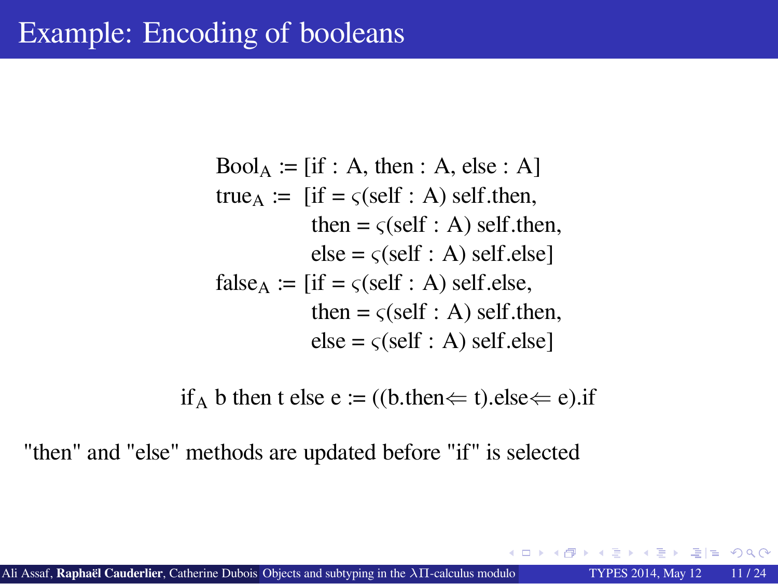### Example: Encoding of booleans

 $Bool_A := [if : A, then : A, else : A]$ true<sub>A</sub> := [if =  $\varsigma$ (self : A) self.then, then =  $\varsigma$ (self : A) self.then,  $else = \varsigma(self : A) self.else]$ false<sub>A</sub> := [if =  $\varsigma$ (self : A) self.else, then =  $\varsigma$ (self : A) self.then,  $else = \varsigma(self : A) self.else]$ 

if<sub>A</sub> b then t else e := ((b.then $\Leftarrow$  t).else $\Leftarrow$  e).if

"then" and "else" methods are updated before "if" is selected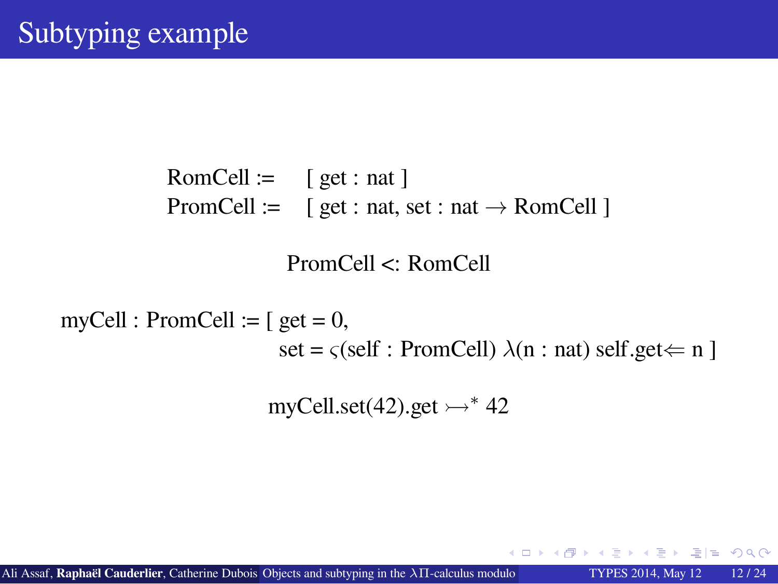### Subtyping example

RomCell :=  $[ get : nat ]$ PromCell := [ get : nat, set : nat *→* RomCell ]

PromCell <: RomCell

 $myCell : PromCell := [get = 0,$ 

set =  $\varsigma$ (self : PromCell)  $\lambda$ (n : nat) self.get  $\Leftarrow$  n ]

myCell.set(42).get ↣*<sup>∗</sup>* 42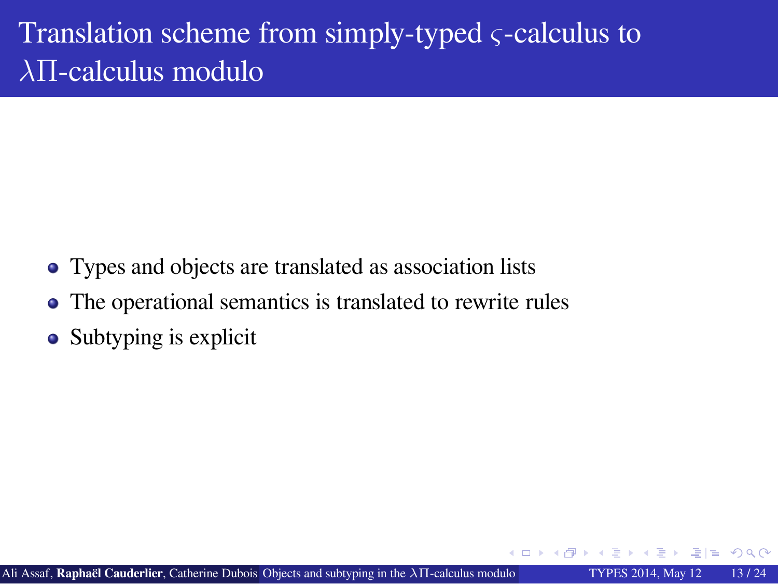Translation scheme from simply-typed *ς*-calculus to *λ*Π-calculus modulo

- Types and objects are translated as association lists
- The operational semantics is translated to rewrite rules
- Subtyping is explicit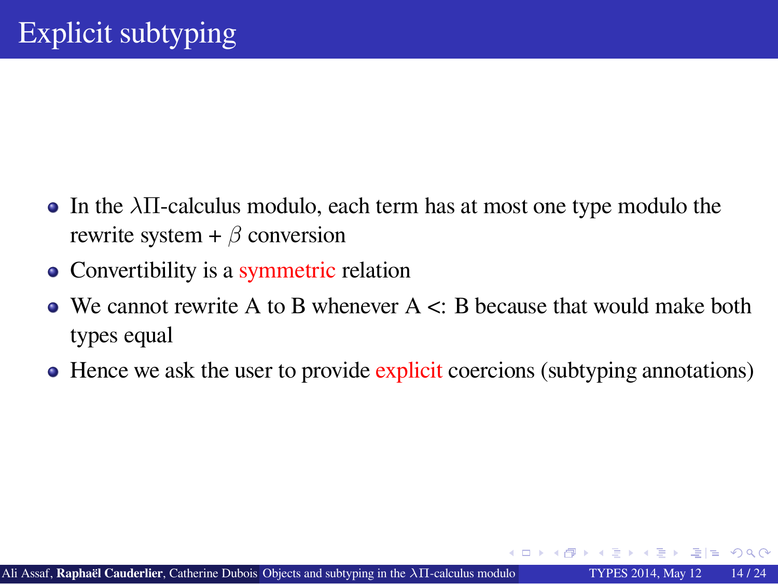### Explicit subtyping

- In the *λ*Π-calculus modulo, each term has at most one type modulo the rewrite system + *β* conversion
- Convertibility is a symmetric relation
- $\bullet$  We cannot rewrite A to B whenever A  $\lt$ : B because that would make both types equal
- Hence we ask the user to provide explicit coercions (subtyping annotations)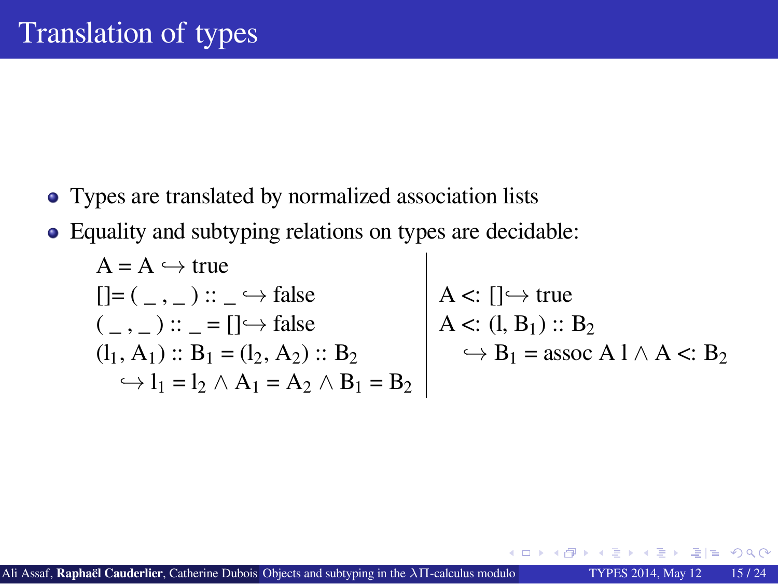### Translation of types

- Types are translated by normalized association lists
- Equality and subtyping relations on types are decidable:

 $A = A \hookrightarrow true$  $[$ ]= ( \_, \_) :: \_  $\hookrightarrow$  false<br>( \_, \_) :: \_ = [] $\hookrightarrow$  false<br>A <: (1, B<sub>1</sub>) :: B<sub>2</sub>  $( _-, _-) :: _ = [ ] \rightarrow false$ <br>  $(l_1, A_1) :: B_1 = (l_2, A_2) :: B_2$  $\hookrightarrow$  B<sub>1</sub> = assoc A l ∧ A <: B<sub>2</sub>  $\hookrightarrow$  l<sub>1</sub> = l<sub>2</sub>  $\wedge$  A<sub>1</sub> = A<sub>2</sub>  $\wedge$  B<sub>1</sub> = B<sub>2</sub>

Ali Assaf, **Raphaël Cauderlier**, Catherine Dubois Objects and subtyping in the *λ*Π-calculus modulo TYPES 2014, May 12 15 / 24

. . . . . . . . . . . . . . . . . . . . . . . . . . . . . . . . . . . . . . . . . . .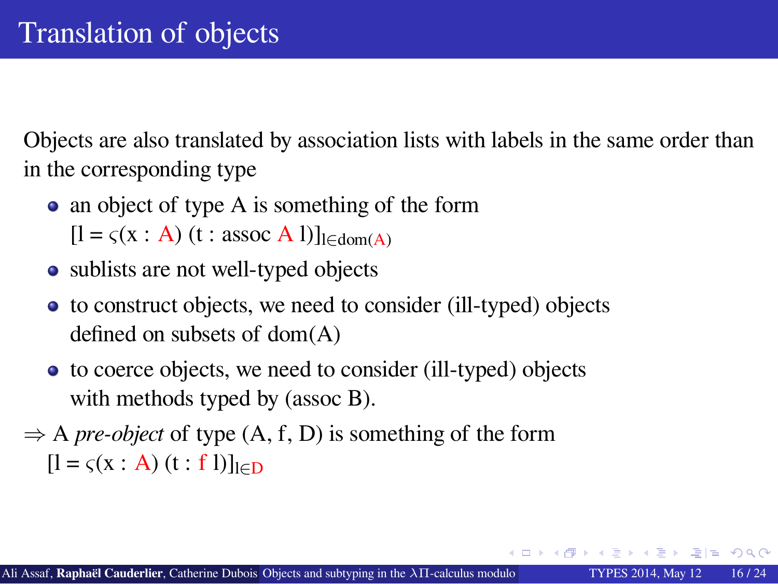### Translation of objects

Objects are also translated by association lists with labels in the same order than in the corresponding type

- an object of type A is something of the form  $[1 = \varsigma(x : A)$  (t : assoc A l)]<sub>l∈dom(A)</sub>
- sublists are not well-typed objects
- to construct objects, we need to consider (ill-typed) objects defined on subsets of dom(A)
- to coerce objects, we need to consider (ill-typed) objects with methods typed by (assoc B).
- *⇒* A *pre-object* of type (A, f, D) is something of the form [l = *ς*(x : A) (t : f l)]l*∈*<sup>D</sup>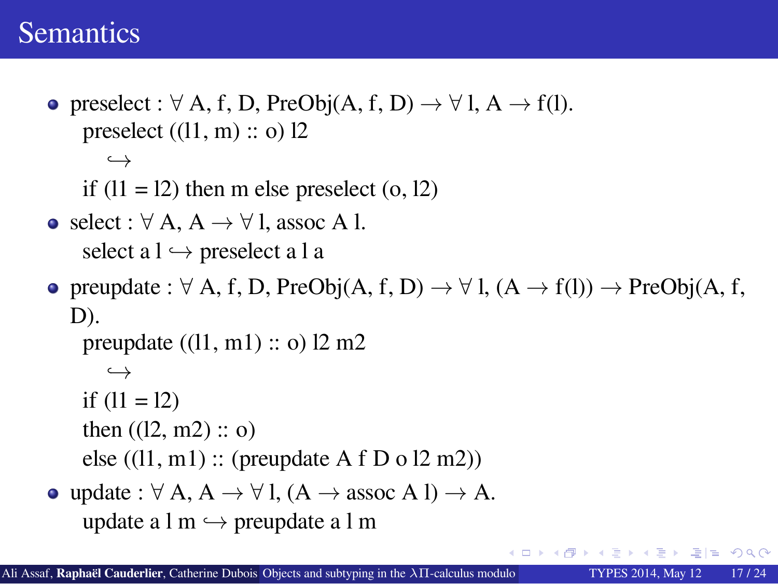#### **Semantics**

```
.
.
.
.
.
.
.
.
.
.
.
.
.
.
.
.
.
.
.
.
.
.
.
.
.
.
.
.
.
.
.
.
.
.
.
.
.
.
.
.
.
.
.
preselect : ∀ A, f, D, PreObj(A, f, D) → ∀ l, A → f(l).
    preselect ((11, m) :: o) 12,→
    if (11 = 12) then m else preselect (0, 12)select : ∀ A, A → ∀ l, assoc A l.
    select a l → preselect a l a
preupdate : ∀ A, f, D, PreObj(A, f, D) → ∀ l, (A → f(l)) → PreObj(A, f,
  D).
    preupdate ((l1, m1) :: o) l2 m2
      ,→
    if (11 = 12)then ((12, m2) :: o)else ((l1, m1) :: (preupdate A f D o l2 m2))
update : ∀ A, A → ∀ l, (A → assoc A l) → A.
    update a l m ,→ preupdate a l m
```
Ali Assaf, **Raphaël Cauderlier**, Catherine Dubois Objects and subtyping in the *λ*Π-calculus modulo TYPES 2014, May 12 17 / 24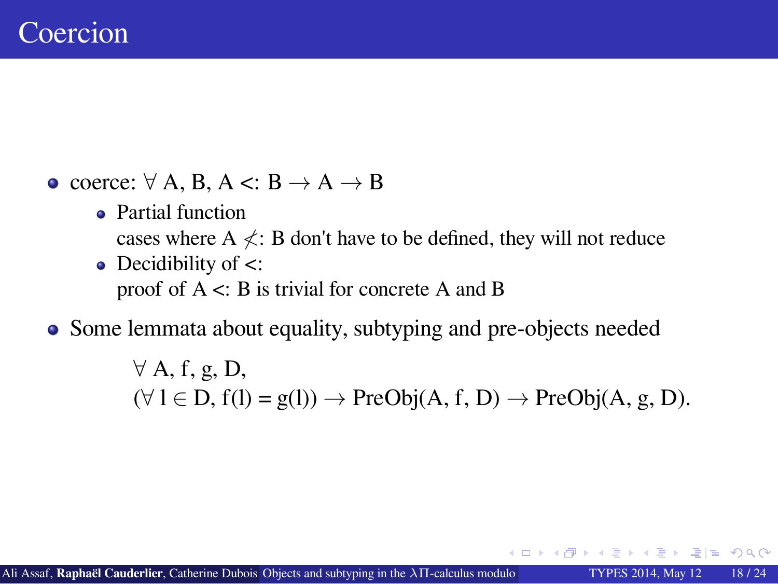### Coercion

- coerce: *∀* A, B, A <: B *→* A *→* B
	- Partial function cases where A  $\measuredangle$ : B don't have to be defined, they will not reduce • Decidibility of <:
		- proof of A <: B is trivial for concrete A and B
- Some lemmata about equality, subtyping and pre-objects needed

*∀* A, f, g, D, (*∀* l *∈* D, f(l) = g(l)) *→* PreObj(A, f, D) *→* PreObj(A, g, D).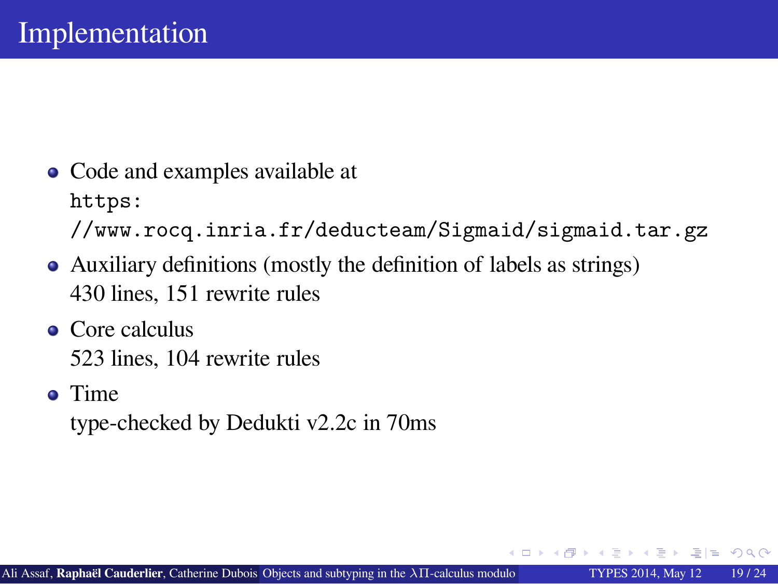### Implementation

- Code and examples available at https: //www.rocq.inria.fr/deducteam/Sigmaid/sigmaid.tar.gz
- Auxiliary definitions (mostly the definition of labels as strings)
- 430 lines, 151 rewrite rules • Core calculus
	- 523 lines, 104 rewrite rules
- Time type-checked by Dedukti v2.2c in 70ms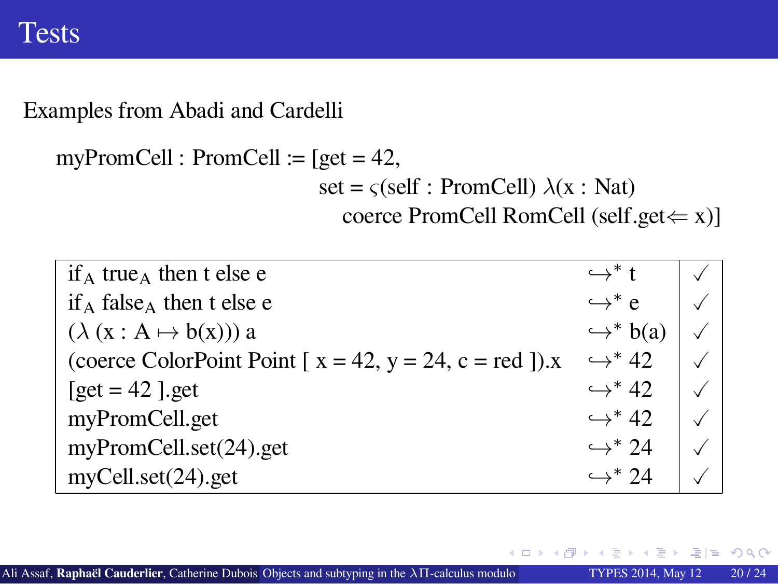### Tests

Examples from Abadi and Cardelli

myPromCell : PromCell :=  $[get = 42,$ 

set =  $\varsigma$ (self : PromCell)  $\lambda$ (x : Nat) coerce PromCell RomCell (self.get*⇐* x)]

| $if_A true_A then t else e$                                            | $\hookrightarrow^*$ t    |  |
|------------------------------------------------------------------------|--------------------------|--|
| $if_A false_A$ then t else e                                           | $\hookrightarrow^*$ e    |  |
| $(\lambda (x : A \mapsto b(x)))$ a                                     | $\hookrightarrow^* b(a)$ |  |
| (coerce ColorPoint Point [ $x = 42$ , $y = 24$ , $c = red$ ]). $x = 1$ | $\hookrightarrow^* 42$   |  |
| $[get = 42]$ .get                                                      | $\hookrightarrow^* 42$   |  |
| myPromCell.get                                                         | $\hookrightarrow^* 42$   |  |
| myPromCell.set(24).get                                                 | $\hookrightarrow^* 24$   |  |
| myCell.set(24).get                                                     | $\hookrightarrow^* 74$   |  |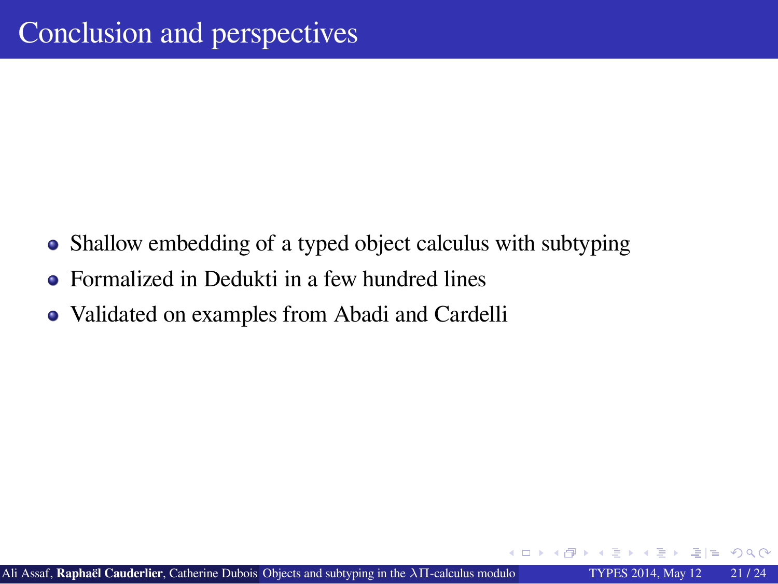### Conclusion and perspectives

- Shallow embedding of a typed object calculus with subtyping
- Formalized in Dedukti in a few hundred lines
- Validated on examples from Abadi and Cardelli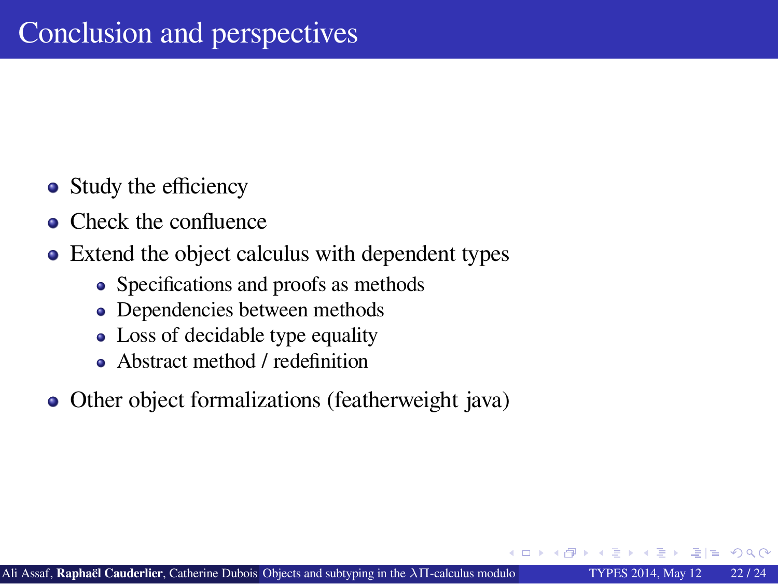### Conclusion and perspectives

- Study the efficiency
- Check the confluence
- Extend the object calculus with dependent types
	- Specifications and proofs as methods
	- Dependencies between methods
	- Loss of decidable type equality
	- Abstract method / redefinition
- Other object formalizations (featherweight java)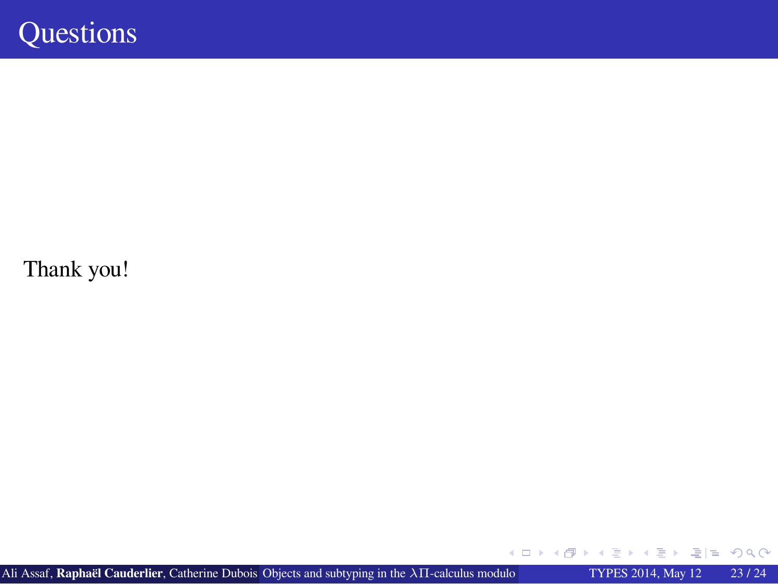## **Questions**

Thank you!

. . . . . . . . . . . . . . . . . . . . . . . . . . . . . . . . . . . . . . . . . . . . **Ali Assaf, Raphaël Cauderlier**, Catherine Dubois Objects and subtyping in the  $λ\Pi$ -calculus modulo